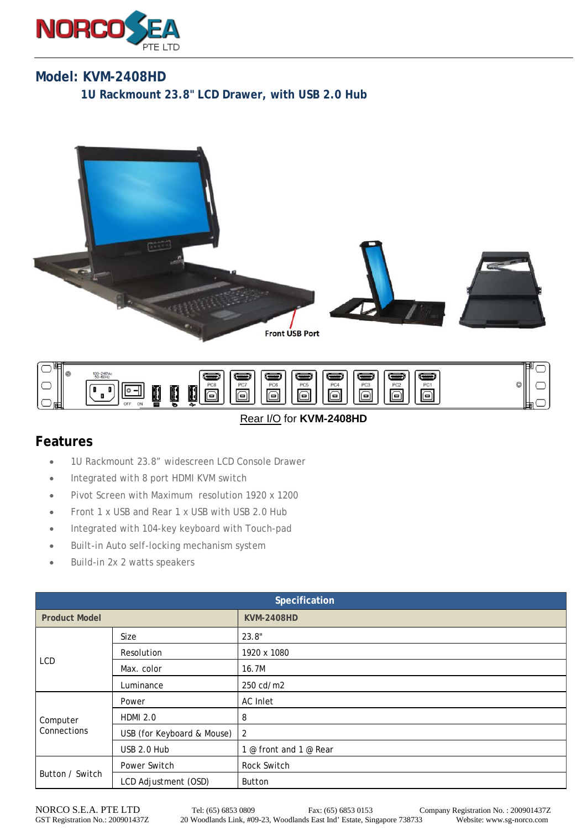

## **Model: KVM-2408HD**

**1U Rackmount 23.8" LCD Drawer, with USB 2.0 Hub** 





## Rear I/O for **KVM-2408HD**

## **Features**

- 1U Rackmount 23.8" widescreen LCD Console Drawer
- Integrated with 8 port HDMI KVM switch
- Pivot Screen with Maximum resolution 1920 x 1200
- Front 1 x USB and Rear 1 x USB with USB 2.0 Hub
- Integrated with 104-key keyboard with Touch-pad
- Built-in Auto self-locking mechanism system
- Build-in 2x 2 watts speakers

| Specification           |                            |                        |  |
|-------------------------|----------------------------|------------------------|--|
| <b>Product Model</b>    |                            | <b>KVM-2408HD</b>      |  |
| <b>LCD</b>              | Size                       | 23.8"                  |  |
|                         | Resolution                 | 1920 x 1080            |  |
|                         | Max. color                 | 16.7M                  |  |
|                         | Luminance                  | 250 cd/m2              |  |
| Computer<br>Connections | Power                      | AC Inlet               |  |
|                         | <b>HDMI 2.0</b>            | 8                      |  |
|                         | USB (for Keyboard & Mouse) | $\overline{2}$         |  |
|                         | USB 2.0 Hub                | 1 @ front and 1 @ Rear |  |
| Button / Switch         | Power Switch               | Rock Switch            |  |
|                         | LCD Adjustment (OSD)       | Button                 |  |